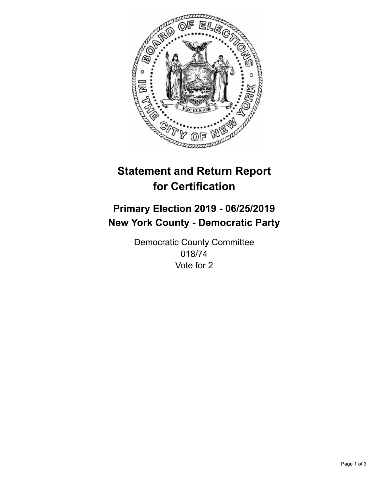

## **Statement and Return Report for Certification**

## **Primary Election 2019 - 06/25/2019 New York County - Democratic Party**

Democratic County Committee 018/74 Vote for 2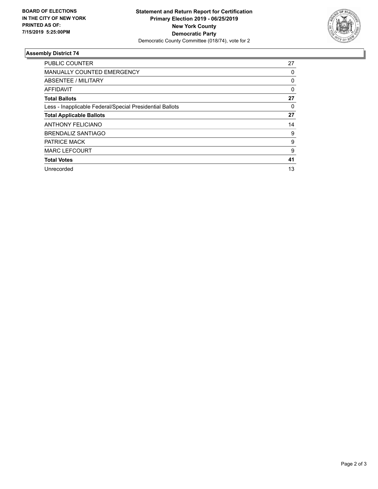

## **Assembly District 74**

| <b>PUBLIC COUNTER</b>                                    | 27       |
|----------------------------------------------------------|----------|
| <b>MANUALLY COUNTED EMERGENCY</b>                        | 0        |
| ABSENTEE / MILITARY                                      | 0        |
| AFFIDAVIT                                                | $\Omega$ |
| <b>Total Ballots</b>                                     | 27       |
| Less - Inapplicable Federal/Special Presidential Ballots | 0        |
| <b>Total Applicable Ballots</b>                          | 27       |
| <b>ANTHONY FELICIANO</b>                                 | 14       |
| <b>BRENDALIZ SANTIAGO</b>                                | 9        |
| <b>PATRICE MACK</b>                                      | 9        |
| <b>MARC LEFCOURT</b>                                     | 9        |
| <b>Total Votes</b>                                       | 41       |
| Unrecorded                                               | 13       |